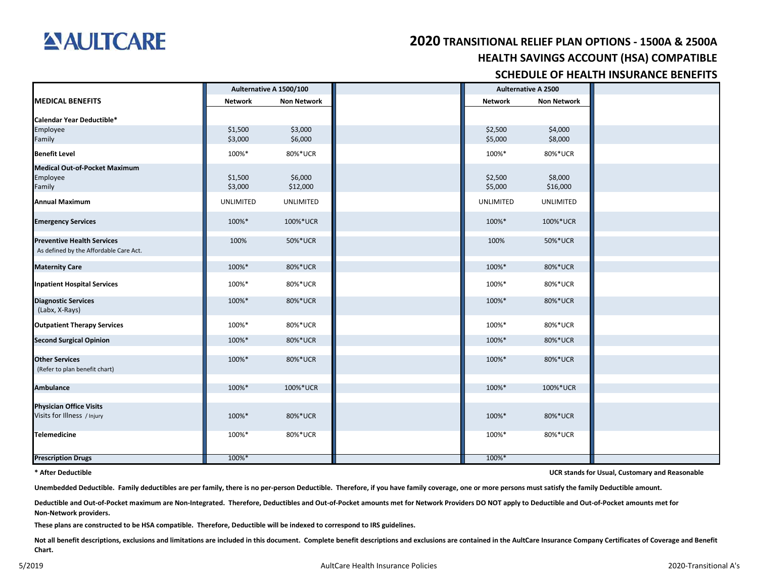

## **HEALTH SAVINGS ACCOUNT (HSA) COMPATIBLE 2020 TRANSITIONAL RELIEF PLAN OPTIONS - 1500A & 2500A**

## **SCHEDULE OF HEALTH INSURANCE BENEFITS**

|                                        |                | Aulternative A 1500/100 | <b>Aulternative A 2500</b> |                    |
|----------------------------------------|----------------|-------------------------|----------------------------|--------------------|
| <b>MEDICAL BENEFITS</b>                | <b>Network</b> | <b>Non Network</b>      | <b>Network</b>             | <b>Non Network</b> |
| Calendar Year Deductible*              |                |                         |                            |                    |
| Employee                               | \$1,500        | \$3,000                 | \$2,500                    | \$4,000            |
| Family                                 | \$3,000        | \$6,000                 | \$5,000                    | \$8,000            |
| <b>Benefit Level</b>                   | 100%*          | 80%*UCR                 | 100%*                      | 80%*UCR            |
| <b>Medical Out-of-Pocket Maximum</b>   |                |                         |                            |                    |
| Employee                               | \$1,500        | \$6,000                 | \$2,500                    | \$8,000            |
| Family                                 | \$3,000        | \$12,000                | \$5,000                    | \$16,000           |
| <b>Annual Maximum</b>                  | UNLIMITED      | <b>UNLIMITED</b>        | UNLIMITED                  | <b>UNLIMITED</b>   |
| <b>Emergency Services</b>              | 100%*          | 100%*UCR                | 100%*                      | 100%*UCR           |
| <b>Preventive Health Services</b>      | 100%           | 50%*UCR                 | 100%                       | 50%*UCR            |
| As defined by the Affordable Care Act. |                |                         |                            |                    |
| <b>Maternity Care</b>                  | 100%*          | 80%*UCR                 | 100%*                      | 80%*UCR            |
| <b>Inpatient Hospital Services</b>     | 100%*          | 80%*UCR                 | 100%*                      | 80%*UCR            |
| <b>Diagnostic Services</b>             | 100%*          | 80%*UCR                 | 100%*                      | 80%*UCR            |
| (Labx, X-Rays)                         |                |                         |                            |                    |
| <b>Outpatient Therapy Services</b>     | 100%*          | 80%*UCR                 | 100%*                      | 80%*UCR            |
|                                        |                |                         |                            |                    |
| <b>Second Surgical Opinion</b>         | 100%*          | 80%*UCR                 | 100%*                      | 80%*UCR            |
| <b>Other Services</b>                  | 100%*          | 80%*UCR                 | 100%*                      | 80%*UCR            |
| (Refer to plan benefit chart)          |                |                         |                            |                    |
|                                        |                |                         |                            |                    |
| <b>Ambulance</b>                       | 100%*          | 100%*UCR                | 100%*                      | 100%*UCR           |
| <b>Physician Office Visits</b>         |                |                         |                            |                    |
| Visits for Illness / Injury            | 100%*          | 80%*UCR                 | 100%*                      | 80%*UCR            |
|                                        |                |                         |                            |                    |
| Telemedicine                           | 100%*          | 80%*UCR                 | 100%*                      | 80%*UCR            |
|                                        |                |                         |                            |                    |
| <b>Prescription Drugs</b>              | 100%*          |                         | 100%*                      |                    |

#### **\* After Deductible**

**UCR stands for Usual, Customary and Reasonable**

**Unembedded Deductible. Family deductibles are per family, there is no per-person Deductible. Therefore, if you have family coverage, one or more persons must satisfy the family Deductible amount.**

**Deductible and Out-of-Pocket maximum are Non-Integrated. Therefore, Deductibles and Out-of-Pocket amounts met for Network Providers DO NOT apply to Deductible and Out-of-Pocket amounts met for Non-Network providers.**

**These plans are constructed to be HSA compatible. Therefore, Deductible will be indexed to correspond to IRS guidelines.**

Not all benefit descriptions, exclusions and limitations are included in this document. Complete benefit descriptions and exclusions are contained in the AultCare Insurance Company Certificates of Coverage and Benefit **Chart.**